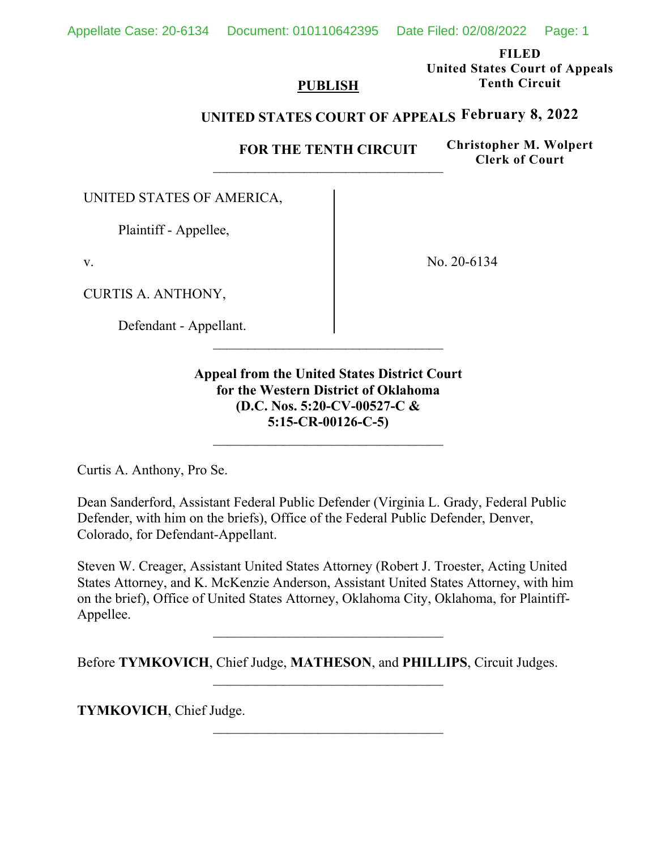Appellate Case: 20-6134 Document: 010110642395 Date Filed: 02/08/2022 Page: 1

**FILED United States Court of Appeals Tenth Circuit** 

#### **PUBLISH**

# **UNITED STATES COURT OF APPEALS February 8, 2022**

**FOR THE TENTH CIRCUIT** 

**Christopher M. Wolpert Clerk of Court**

UNITED STATES OF AMERICA,

Plaintiff - Appellee,

v.

CURTIS A. ANTHONY,

Defendant - Appellant.

No. 20-6134

**Appeal from the United States District Court for the Western District of Oklahoma (D.C. Nos. 5:20-CV-00527-C & 5:15-CR-00126-C-5)**

Curtis A. Anthony, Pro Se.

Dean Sanderford, Assistant Federal Public Defender (Virginia L. Grady, Federal Public Defender, with him on the briefs), Office of the Federal Public Defender, Denver, Colorado, for Defendant-Appellant.

Steven W. Creager, Assistant United States Attorney (Robert J. Troester, Acting United States Attorney, and K. McKenzie Anderson, Assistant United States Attorney, with him on the brief), Office of United States Attorney, Oklahoma City, Oklahoma, for Plaintiff-Appellee.

Before **TYMKOVICH**, Chief Judge, **MATHESON**, and **PHILLIPS**, Circuit Judges.

 $\mathcal{L}_\text{max}$ 

**TYMKOVICH**, Chief Judge.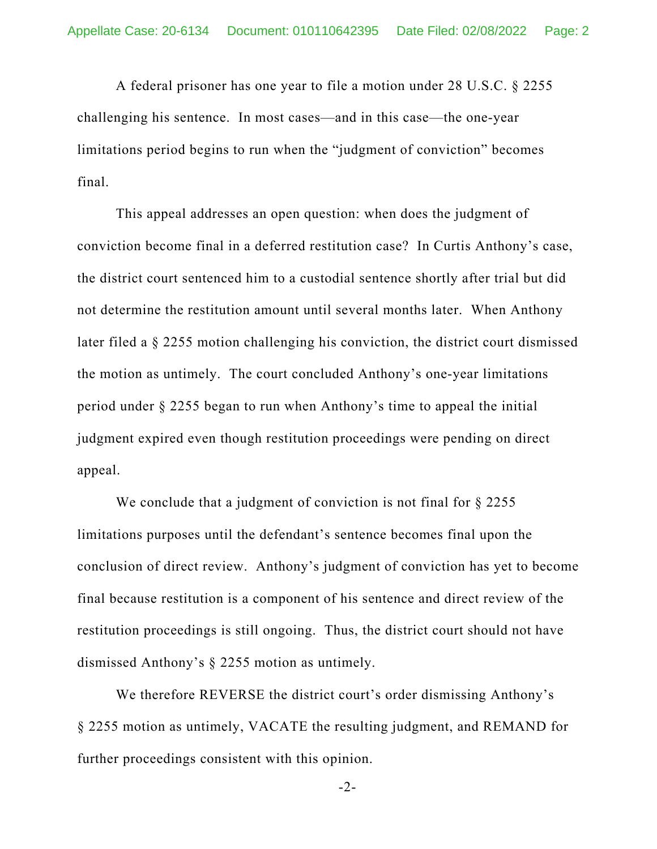A federal prisoner has one year to file a motion under 28 U.S.C. § 2255 challenging his sentence. In most cases—and in this case—the one-year limitations period begins to run when the "judgment of conviction" becomes final.

This appeal addresses an open question: when does the judgment of conviction become final in a deferred restitution case? In Curtis Anthony's case, the district court sentenced him to a custodial sentence shortly after trial but did not determine the restitution amount until several months later. When Anthony later filed a § 2255 motion challenging his conviction, the district court dismissed the motion as untimely. The court concluded Anthony's one-year limitations period under § 2255 began to run when Anthony's time to appeal the initial judgment expired even though restitution proceedings were pending on direct appeal.

We conclude that a judgment of conviction is not final for § 2255 limitations purposes until the defendant's sentence becomes final upon the conclusion of direct review. Anthony's judgment of conviction has yet to become final because restitution is a component of his sentence and direct review of the restitution proceedings is still ongoing. Thus, the district court should not have dismissed Anthony's § 2255 motion as untimely.

We therefore REVERSE the district court's order dismissing Anthony's § 2255 motion as untimely, VACATE the resulting judgment, and REMAND for further proceedings consistent with this opinion.

-2-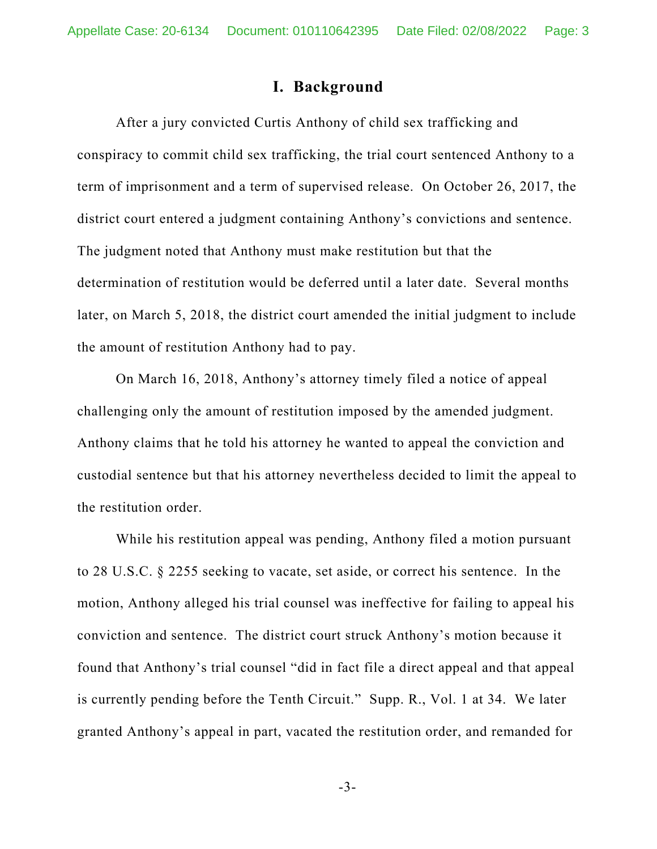## **I. Background**

After a jury convicted Curtis Anthony of child sex trafficking and conspiracy to commit child sex trafficking, the trial court sentenced Anthony to a term of imprisonment and a term of supervised release. On October 26, 2017, the district court entered a judgment containing Anthony's convictions and sentence. The judgment noted that Anthony must make restitution but that the determination of restitution would be deferred until a later date. Several months later, on March 5, 2018, the district court amended the initial judgment to include the amount of restitution Anthony had to pay.

On March 16, 2018, Anthony's attorney timely filed a notice of appeal challenging only the amount of restitution imposed by the amended judgment. Anthony claims that he told his attorney he wanted to appeal the conviction and custodial sentence but that his attorney nevertheless decided to limit the appeal to the restitution order.

While his restitution appeal was pending, Anthony filed a motion pursuant to 28 U.S.C. § 2255 seeking to vacate, set aside, or correct his sentence. In the motion, Anthony alleged his trial counsel was ineffective for failing to appeal his conviction and sentence. The district court struck Anthony's motion because it found that Anthony's trial counsel "did in fact file a direct appeal and that appeal is currently pending before the Tenth Circuit." Supp. R., Vol. 1 at 34. We later granted Anthony's appeal in part, vacated the restitution order, and remanded for

-3-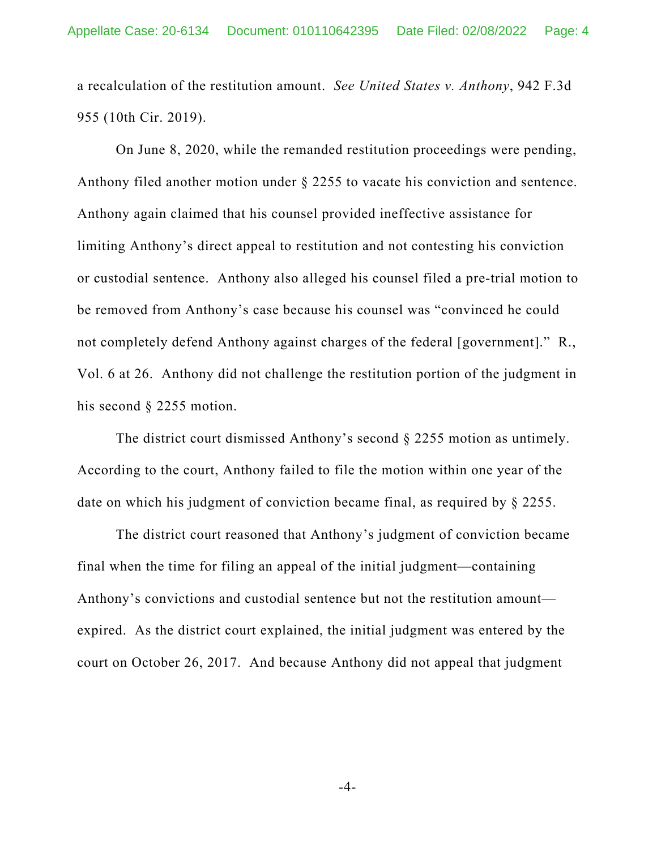a recalculation of the restitution amount. *See United States v. Anthony*, 942 F.3d 955 (10th Cir. 2019).

On June 8, 2020, while the remanded restitution proceedings were pending, Anthony filed another motion under § 2255 to vacate his conviction and sentence. Anthony again claimed that his counsel provided ineffective assistance for limiting Anthony's direct appeal to restitution and not contesting his conviction or custodial sentence. Anthony also alleged his counsel filed a pre-trial motion to be removed from Anthony's case because his counsel was "convinced he could not completely defend Anthony against charges of the federal [government]." R., Vol. 6 at 26. Anthony did not challenge the restitution portion of the judgment in his second § 2255 motion.

The district court dismissed Anthony's second § 2255 motion as untimely. According to the court, Anthony failed to file the motion within one year of the date on which his judgment of conviction became final, as required by § 2255.

The district court reasoned that Anthony's judgment of conviction became final when the time for filing an appeal of the initial judgment—containing Anthony's convictions and custodial sentence but not the restitution amount expired. As the district court explained, the initial judgment was entered by the court on October 26, 2017. And because Anthony did not appeal that judgment

 $-4-$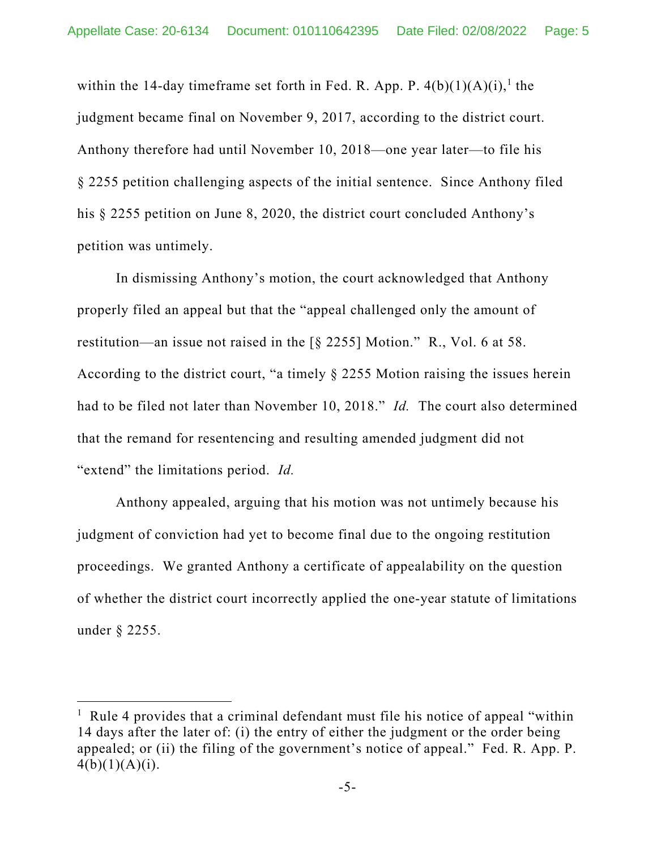within the 14-day timeframe set forth in Fed. R. App. P.  $4(b)(1)(A)(i)$ ,<sup>1</sup> the judgment became final on November 9, 2017, according to the district court. Anthony therefore had until November 10, 2018—one year later—to file his § 2255 petition challenging aspects of the initial sentence. Since Anthony filed his § 2255 petition on June 8, 2020, the district court concluded Anthony's petition was untimely.

In dismissing Anthony's motion, the court acknowledged that Anthony properly filed an appeal but that the "appeal challenged only the amount of restitution—an issue not raised in the [§ 2255] Motion." R., Vol. 6 at 58. According to the district court, "a timely § 2255 Motion raising the issues herein had to be filed not later than November 10, 2018." *Id.* The court also determined that the remand for resentencing and resulting amended judgment did not "extend" the limitations period. *Id.* 

Anthony appealed, arguing that his motion was not untimely because his judgment of conviction had yet to become final due to the ongoing restitution proceedings. We granted Anthony a certificate of appealability on the question of whether the district court incorrectly applied the one-year statute of limitations under § 2255.

<sup>&</sup>lt;sup>1</sup> Rule 4 provides that a criminal defendant must file his notice of appeal "within" 14 days after the later of: (i) the entry of either the judgment or the order being appealed; or (ii) the filing of the government's notice of appeal." Fed. R. App. P.  $4(b)(1)(A)(i)$ .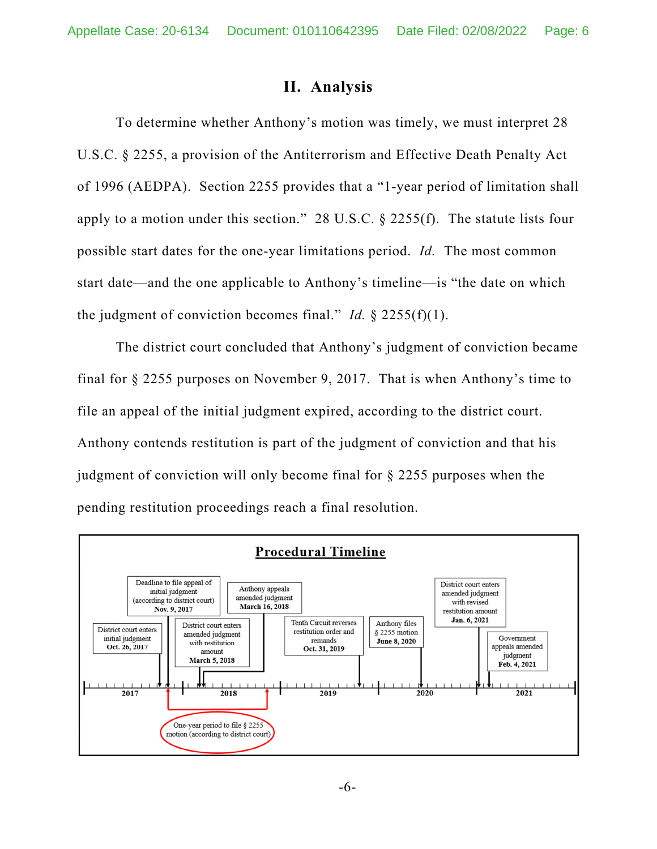# **II. Analysis**

To determine whether Anthony's motion was timely, we must interpret 28 U.S.C. § 2255, a provision of the Antiterrorism and Effective Death Penalty Act of 1996 (AEDPA). Section 2255 provides that a "1-year period of limitation shall apply to a motion under this section." 28 U.S.C. § 2255(f). The statute lists four possible start dates for the one-year limitations period. *Id.* The most common start date—and the one applicable to Anthony's timeline—is "the date on which the judgment of conviction becomes final." *Id.*  $\S$  2255(f)(1).

The district court concluded that Anthony's judgment of conviction became final for § 2255 purposes on November 9, 2017. That is when Anthony's time to file an appeal of the initial judgment expired, according to the district court. Anthony contends restitution is part of the judgment of conviction and that his judgment of conviction will only become final for § 2255 purposes when the pending restitution proceedings reach a final resolution.

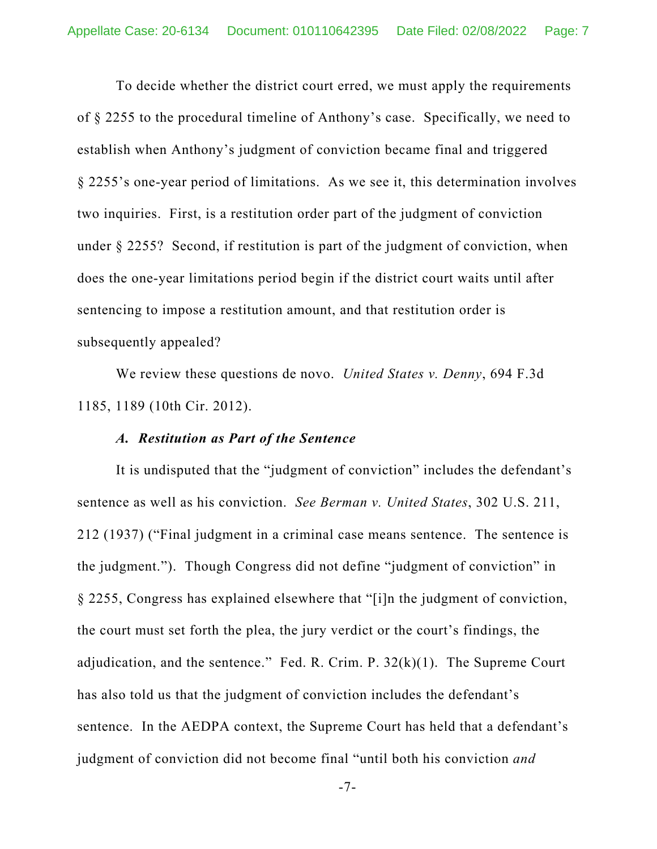To decide whether the district court erred, we must apply the requirements of § 2255 to the procedural timeline of Anthony's case. Specifically, we need to establish when Anthony's judgment of conviction became final and triggered § 2255's one-year period of limitations. As we see it, this determination involves two inquiries. First, is a restitution order part of the judgment of conviction under § 2255? Second, if restitution is part of the judgment of conviction, when does the one-year limitations period begin if the district court waits until after sentencing to impose a restitution amount, and that restitution order is subsequently appealed?

We review these questions de novo. *United States v. Denny*, 694 F.3d 1185, 1189 (10th Cir. 2012).

## *A. Restitution as Part of the Sentence*

It is undisputed that the "judgment of conviction" includes the defendant's sentence as well as his conviction. *See Berman v. United States*, 302 U.S. 211, 212 (1937) ("Final judgment in a criminal case means sentence. The sentence is the judgment."). Though Congress did not define "judgment of conviction" in § 2255, Congress has explained elsewhere that "[i]n the judgment of conviction, the court must set forth the plea, the jury verdict or the court's findings, the adjudication, and the sentence." Fed. R. Crim. P.  $32(k)(1)$ . The Supreme Court has also told us that the judgment of conviction includes the defendant's sentence. In the AEDPA context, the Supreme Court has held that a defendant's judgment of conviction did not become final "until both his conviction *and*

-7-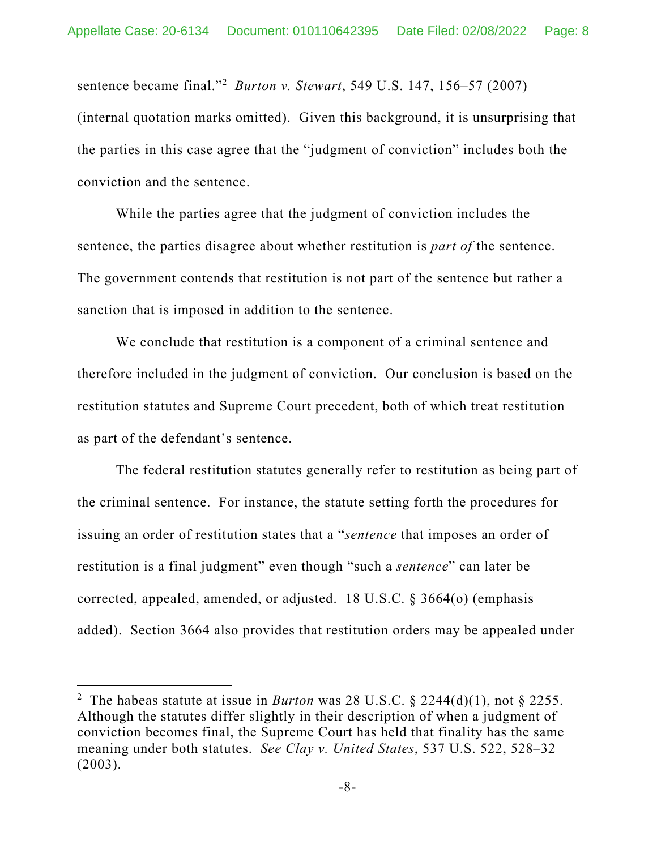sentence became final."2 *Burton v. Stewart*, 549 U.S. 147, 156–57 (2007) (internal quotation marks omitted). Given this background, it is unsurprising that the parties in this case agree that the "judgment of conviction" includes both the conviction and the sentence.

While the parties agree that the judgment of conviction includes the sentence, the parties disagree about whether restitution is *part of* the sentence. The government contends that restitution is not part of the sentence but rather a sanction that is imposed in addition to the sentence.

We conclude that restitution is a component of a criminal sentence and therefore included in the judgment of conviction. Our conclusion is based on the restitution statutes and Supreme Court precedent, both of which treat restitution as part of the defendant's sentence.

The federal restitution statutes generally refer to restitution as being part of the criminal sentence. For instance, the statute setting forth the procedures for issuing an order of restitution states that a "*sentence* that imposes an order of restitution is a final judgment" even though "such a *sentence*" can later be corrected, appealed, amended, or adjusted. 18 U.S.C. § 3664(o) (emphasis added). Section 3664 also provides that restitution orders may be appealed under

<sup>&</sup>lt;sup>2</sup> The habeas statute at issue in *Burton* was 28 U.S.C. § 2244(d)(1), not § 2255. Although the statutes differ slightly in their description of when a judgment of conviction becomes final, the Supreme Court has held that finality has the same meaning under both statutes. *See Clay v. United States*, 537 U.S. 522, 528–32 (2003).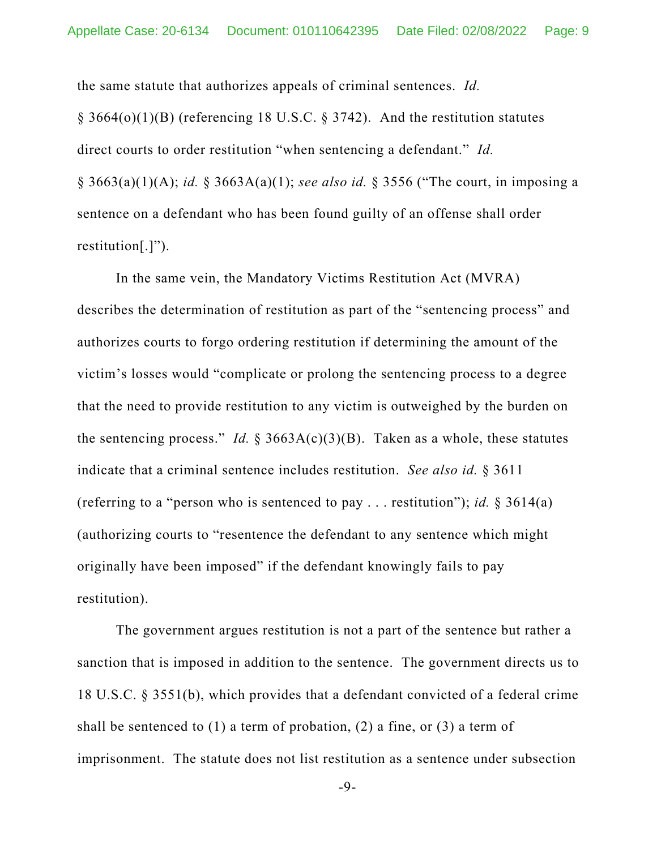the same statute that authorizes appeals of criminal sentences. *Id.* 

§ 3664(o)(1)(B) (referencing 18 U.S.C. § 3742). And the restitution statutes direct courts to order restitution "when sentencing a defendant." *Id.*  § 3663(a)(1)(A); *id.* § 3663A(a)(1); *see also id.* § 3556 ("The court, in imposing a sentence on a defendant who has been found guilty of an offense shall order restitution[.]").

In the same vein, the Mandatory Victims Restitution Act (MVRA) describes the determination of restitution as part of the "sentencing process" and authorizes courts to forgo ordering restitution if determining the amount of the victim's losses would "complicate or prolong the sentencing process to a degree that the need to provide restitution to any victim is outweighed by the burden on the sentencing process." *Id.*  $\S 3663A(c)(3)(B)$ . Taken as a whole, these statutes indicate that a criminal sentence includes restitution. *See also id.* § 3611 (referring to a "person who is sentenced to pay . . . restitution"); *id.* § 3614(a) (authorizing courts to "resentence the defendant to any sentence which might originally have been imposed" if the defendant knowingly fails to pay restitution).

The government argues restitution is not a part of the sentence but rather a sanction that is imposed in addition to the sentence. The government directs us to 18 U.S.C. § 3551(b), which provides that a defendant convicted of a federal crime shall be sentenced to  $(1)$  a term of probation,  $(2)$  a fine, or  $(3)$  a term of imprisonment. The statute does not list restitution as a sentence under subsection

-9-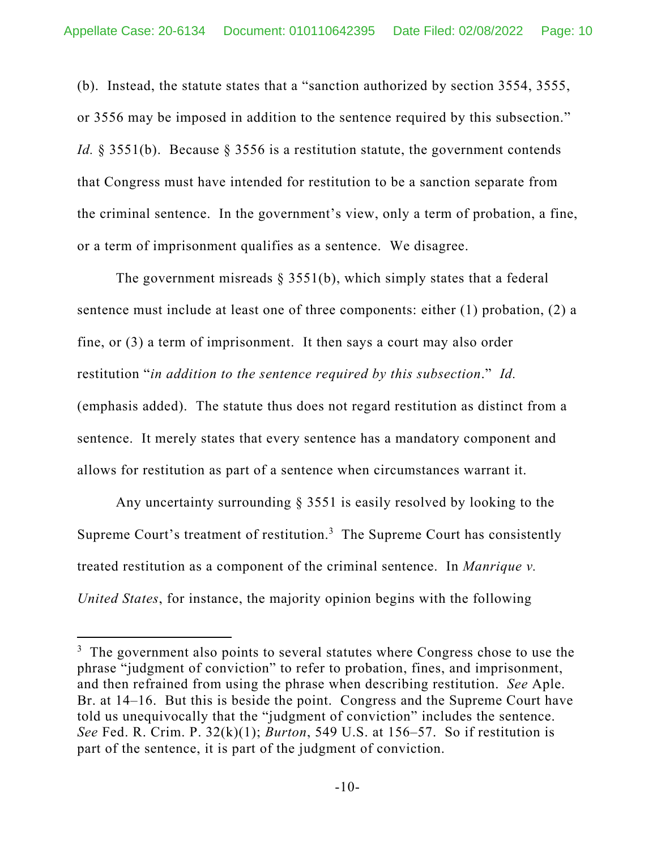(b). Instead, the statute states that a "sanction authorized by section 3554, 3555, or 3556 may be imposed in addition to the sentence required by this subsection." *Id.* § 3551(b). Because § 3556 is a restitution statute, the government contends that Congress must have intended for restitution to be a sanction separate from the criminal sentence. In the government's view, only a term of probation, a fine, or a term of imprisonment qualifies as a sentence. We disagree.

The government misreads  $\S$  3551(b), which simply states that a federal sentence must include at least one of three components: either (1) probation, (2) a fine, or (3) a term of imprisonment. It then says a court may also order restitution "*in addition to the sentence required by this subsection*." *Id.*  (emphasis added). The statute thus does not regard restitution as distinct from a sentence. It merely states that every sentence has a mandatory component and allows for restitution as part of a sentence when circumstances warrant it.

Any uncertainty surrounding § 3551 is easily resolved by looking to the Supreme Court's treatment of restitution.<sup>3</sup> The Supreme Court has consistently treated restitution as a component of the criminal sentence. In *Manrique v. United States*, for instance, the majority opinion begins with the following

 $3$  The government also points to several statutes where Congress chose to use the phrase "judgment of conviction" to refer to probation, fines, and imprisonment, and then refrained from using the phrase when describing restitution. *See* Aple. Br. at 14–16. But this is beside the point. Congress and the Supreme Court have told us unequivocally that the "judgment of conviction" includes the sentence. *See* Fed. R. Crim. P. 32(k)(1); *Burton*, 549 U.S. at 156–57. So if restitution is part of the sentence, it is part of the judgment of conviction.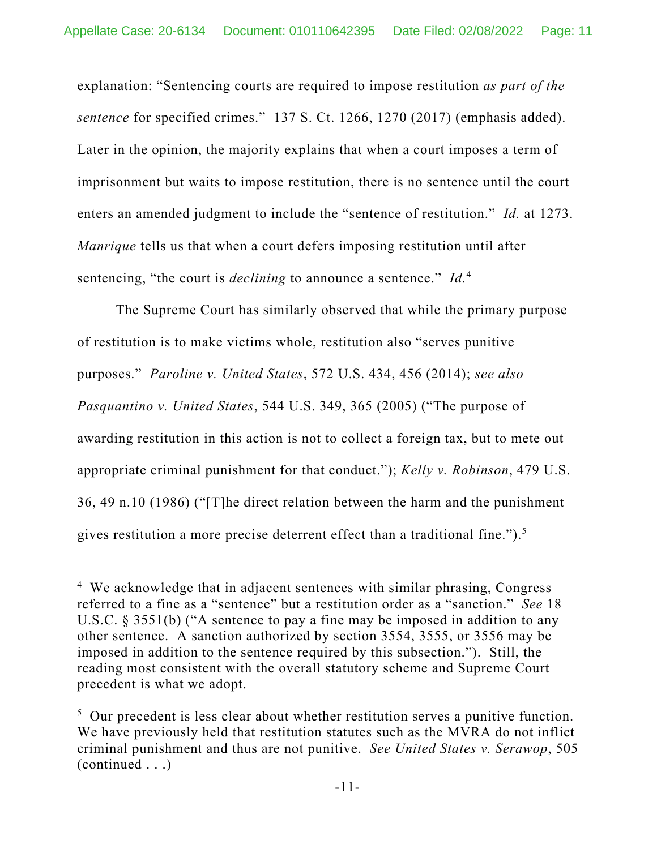explanation: "Sentencing courts are required to impose restitution *as part of the sentence* for specified crimes." 137 S. Ct. 1266, 1270 (2017) (emphasis added). Later in the opinion, the majority explains that when a court imposes a term of imprisonment but waits to impose restitution, there is no sentence until the court enters an amended judgment to include the "sentence of restitution." *Id.* at 1273. *Manrique* tells us that when a court defers imposing restitution until after sentencing, "the court is *declining* to announce a sentence." *Id.*<sup>4</sup>

The Supreme Court has similarly observed that while the primary purpose of restitution is to make victims whole, restitution also "serves punitive purposes." *Paroline v. United States*, 572 U.S. 434, 456 (2014); *see also Pasquantino v. United States*, 544 U.S. 349, 365 (2005) ("The purpose of awarding restitution in this action is not to collect a foreign tax, but to mete out appropriate criminal punishment for that conduct."); *Kelly v. Robinson*, 479 U.S. 36, 49 n.10 (1986) ("[T]he direct relation between the harm and the punishment gives restitution a more precise deterrent effect than a traditional fine.").<sup>5</sup>

<sup>&</sup>lt;sup>4</sup> We acknowledge that in adjacent sentences with similar phrasing, Congress referred to a fine as a "sentence" but a restitution order as a "sanction." *See* 18 U.S.C. § 3551(b) ("A sentence to pay a fine may be imposed in addition to any other sentence. A sanction authorized by section 3554, 3555, or 3556 may be imposed in addition to the sentence required by this subsection."). Still, the reading most consistent with the overall statutory scheme and Supreme Court precedent is what we adopt.

<sup>&</sup>lt;sup>5</sup> Our precedent is less clear about whether restitution serves a punitive function. We have previously held that restitution statutes such as the MVRA do not inflict criminal punishment and thus are not punitive. *See United States v. Serawop*, 505 (continued . . .)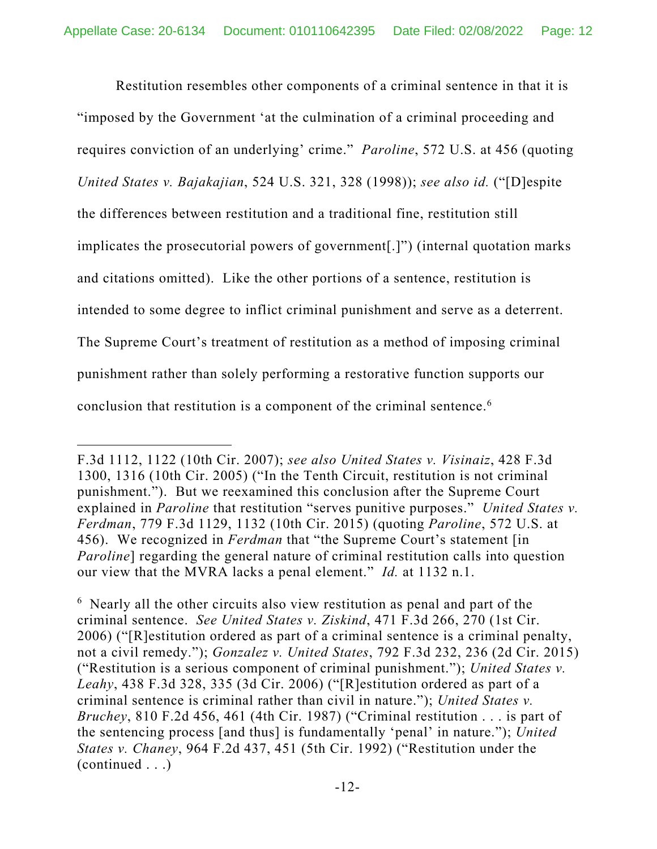Restitution resembles other components of a criminal sentence in that it is "imposed by the Government 'at the culmination of a criminal proceeding and requires conviction of an underlying' crime." *Paroline*, 572 U.S. at 456 (quoting *United States v. Bajakajian*, 524 U.S. 321, 328 (1998)); *see also id.* ("[D]espite the differences between restitution and a traditional fine, restitution still implicates the prosecutorial powers of government[.]") (internal quotation marks and citations omitted). Like the other portions of a sentence, restitution is intended to some degree to inflict criminal punishment and serve as a deterrent. The Supreme Court's treatment of restitution as a method of imposing criminal punishment rather than solely performing a restorative function supports our conclusion that restitution is a component of the criminal sentence.<sup>6</sup>

F.3d 1112, 1122 (10th Cir. 2007); *see also United States v. Visinaiz*, 428 F.3d 1300, 1316 (10th Cir. 2005) ("In the Tenth Circuit, restitution is not criminal punishment."). But we reexamined this conclusion after the Supreme Court explained in *Paroline* that restitution "serves punitive purposes." *United States v. Ferdman*, 779 F.3d 1129, 1132 (10th Cir. 2015) (quoting *Paroline*, 572 U.S. at 456). We recognized in *Ferdman* that "the Supreme Court's statement [in *Paroline*] regarding the general nature of criminal restitution calls into question our view that the MVRA lacks a penal element." *Id.* at 1132 n.1.

<sup>&</sup>lt;sup>6</sup> Nearly all the other circuits also view restitution as penal and part of the criminal sentence. *See United States v. Ziskind*, 471 F.3d 266, 270 (1st Cir. 2006) ("[R]estitution ordered as part of a criminal sentence is a criminal penalty, not a civil remedy."); *Gonzalez v. United States*, 792 F.3d 232, 236 (2d Cir. 2015) ("Restitution is a serious component of criminal punishment."); *United States v. Leahy*, 438 F.3d 328, 335 (3d Cir. 2006) ("[R]estitution ordered as part of a criminal sentence is criminal rather than civil in nature."); *United States v. Bruchey*, 810 F.2d 456, 461 (4th Cir. 1987) ("Criminal restitution . . . is part of the sentencing process [and thus] is fundamentally 'penal' in nature."); *United States v. Chaney*, 964 F.2d 437, 451 (5th Cir. 1992) ("Restitution under the (continued . . .)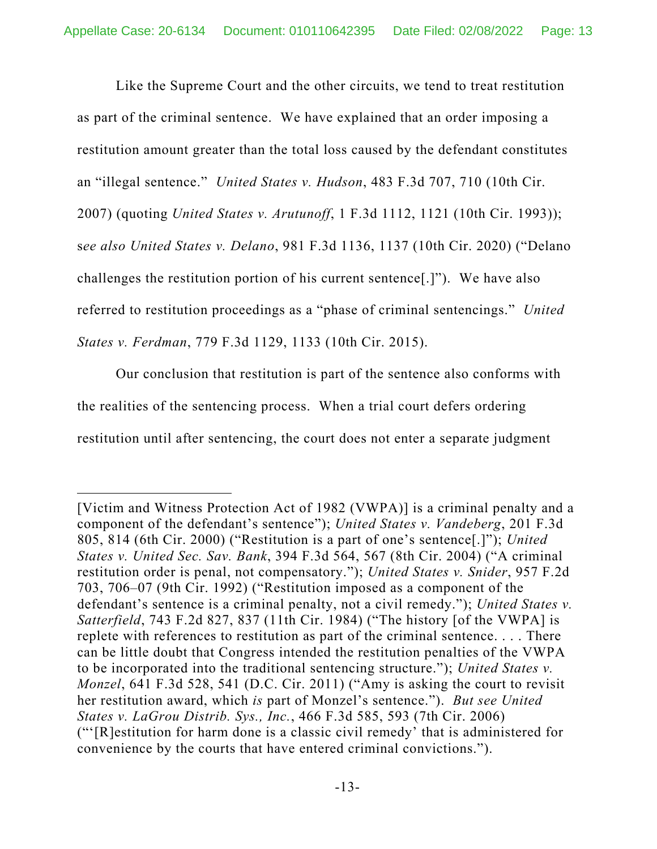Like the Supreme Court and the other circuits, we tend to treat restitution as part of the criminal sentence. We have explained that an order imposing a restitution amount greater than the total loss caused by the defendant constitutes an "illegal sentence." *United States v. Hudson*, 483 F.3d 707, 710 (10th Cir. 2007) (quoting *United States v. Arutunoff*, 1 F.3d 1112, 1121 (10th Cir. 1993)); s*ee also United States v. Delano*, 981 F.3d 1136, 1137 (10th Cir. 2020) ("Delano challenges the restitution portion of his current sentence[.]"). We have also referred to restitution proceedings as a "phase of criminal sentencings." *United States v. Ferdman*, 779 F.3d 1129, 1133 (10th Cir. 2015).

Our conclusion that restitution is part of the sentence also conforms with the realities of the sentencing process. When a trial court defers ordering restitution until after sentencing, the court does not enter a separate judgment

<sup>[</sup>Victim and Witness Protection Act of 1982 (VWPA)] is a criminal penalty and a component of the defendant's sentence"); *United States v. Vandeberg*, 201 F.3d 805, 814 (6th Cir. 2000) ("Restitution is a part of one's sentence[.]"); *United States v. United Sec. Sav. Bank*, 394 F.3d 564, 567 (8th Cir. 2004) ("A criminal restitution order is penal, not compensatory."); *United States v. Snider*, 957 F.2d 703, 706–07 (9th Cir. 1992) ("Restitution imposed as a component of the defendant's sentence is a criminal penalty, not a civil remedy."); *United States v. Satterfield*, 743 F.2d 827, 837 (11th Cir. 1984) ("The history [of the VWPA] is replete with references to restitution as part of the criminal sentence. . . . There can be little doubt that Congress intended the restitution penalties of the VWPA to be incorporated into the traditional sentencing structure."); *United States v. Monzel*, 641 F.3d 528, 541 (D.C. Cir. 2011) ("Amy is asking the court to revisit her restitution award, which *is* part of Monzel's sentence."). *But see United States v. LaGrou Distrib. Sys., Inc.*, 466 F.3d 585, 593 (7th Cir. 2006) ("'[R]estitution for harm done is a classic civil remedy' that is administered for convenience by the courts that have entered criminal convictions.").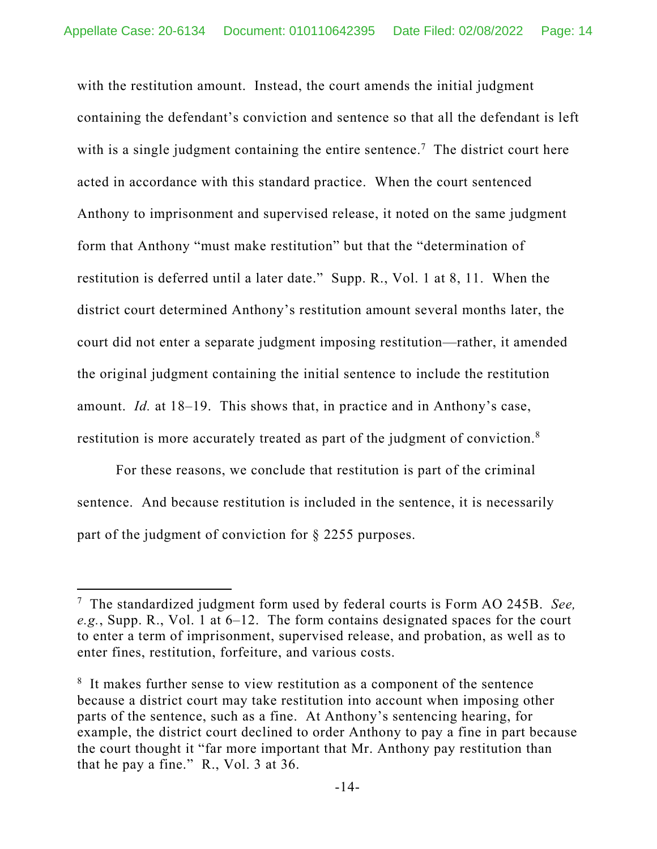with the restitution amount. Instead, the court amends the initial judgment containing the defendant's conviction and sentence so that all the defendant is left with is a single judgment containing the entire sentence.<sup>7</sup> The district court here acted in accordance with this standard practice. When the court sentenced Anthony to imprisonment and supervised release, it noted on the same judgment form that Anthony "must make restitution" but that the "determination of restitution is deferred until a later date." Supp. R., Vol. 1 at 8, 11. When the district court determined Anthony's restitution amount several months later, the court did not enter a separate judgment imposing restitution—rather, it amended the original judgment containing the initial sentence to include the restitution amount. *Id.* at 18–19. This shows that, in practice and in Anthony's case, restitution is more accurately treated as part of the judgment of conviction.<sup>8</sup>

For these reasons, we conclude that restitution is part of the criminal sentence. And because restitution is included in the sentence, it is necessarily part of the judgment of conviction for § 2255 purposes.

<sup>7</sup> The standardized judgment form used by federal courts is Form AO 245B. *See, e.g.*, Supp. R., Vol. 1 at 6–12. The form contains designated spaces for the court to enter a term of imprisonment, supervised release, and probation, as well as to enter fines, restitution, forfeiture, and various costs.

<sup>&</sup>lt;sup>8</sup> It makes further sense to view restitution as a component of the sentence because a district court may take restitution into account when imposing other parts of the sentence, such as a fine. At Anthony's sentencing hearing, for example, the district court declined to order Anthony to pay a fine in part because the court thought it "far more important that Mr. Anthony pay restitution than that he pay a fine." R., Vol. 3 at 36.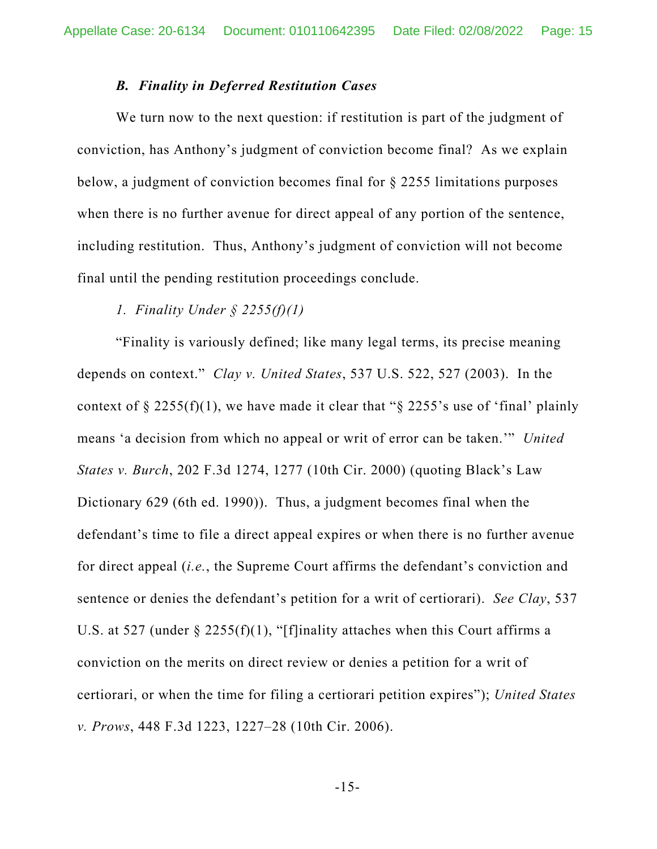### *B. Finality in Deferred Restitution Cases*

We turn now to the next question: if restitution is part of the judgment of conviction, has Anthony's judgment of conviction become final? As we explain below, a judgment of conviction becomes final for § 2255 limitations purposes when there is no further avenue for direct appeal of any portion of the sentence, including restitution. Thus, Anthony's judgment of conviction will not become final until the pending restitution proceedings conclude.

### *1. Finality Under § 2255(f)(1)*

"Finality is variously defined; like many legal terms, its precise meaning depends on context." *Clay v. United States*, 537 U.S. 522, 527 (2003). In the context of  $\S 2255(f)(1)$ , we have made it clear that " $\S 2255$ 's use of 'final' plainly means 'a decision from which no appeal or writ of error can be taken.'" *United States v. Burch*, 202 F.3d 1274, 1277 (10th Cir. 2000) (quoting Black's Law Dictionary 629 (6th ed. 1990)). Thus, a judgment becomes final when the defendant's time to file a direct appeal expires or when there is no further avenue for direct appeal (*i.e.*, the Supreme Court affirms the defendant's conviction and sentence or denies the defendant's petition for a writ of certiorari). *See Clay*, 537 U.S. at 527 (under  $\S$  2255(f)(1), "[f]inality attaches when this Court affirms a conviction on the merits on direct review or denies a petition for a writ of certiorari, or when the time for filing a certiorari petition expires"); *United States v. Prows*, 448 F.3d 1223, 1227–28 (10th Cir. 2006).

-15-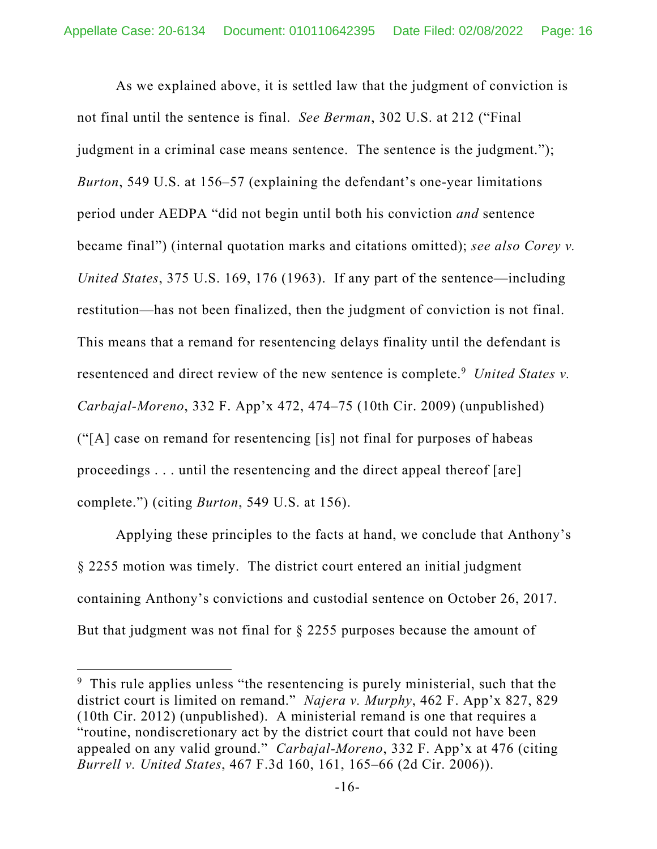As we explained above, it is settled law that the judgment of conviction is not final until the sentence is final. *See Berman*, 302 U.S. at 212 ("Final judgment in a criminal case means sentence. The sentence is the judgment."); *Burton*, 549 U.S. at 156–57 (explaining the defendant's one-year limitations period under AEDPA "did not begin until both his conviction *and* sentence became final") (internal quotation marks and citations omitted); *see also Corey v. United States*, 375 U.S. 169, 176 (1963). If any part of the sentence—including restitution—has not been finalized, then the judgment of conviction is not final. This means that a remand for resentencing delays finality until the defendant is resentenced and direct review of the new sentence is complete.<sup>9</sup> United States v. *Carbajal-Moreno*, 332 F. App'x 472, 474–75 (10th Cir. 2009) (unpublished) ("[A] case on remand for resentencing [is] not final for purposes of habeas proceedings . . . until the resentencing and the direct appeal thereof [are] complete.") (citing *Burton*, 549 U.S. at 156).

Applying these principles to the facts at hand, we conclude that Anthony's § 2255 motion was timely. The district court entered an initial judgment containing Anthony's convictions and custodial sentence on October 26, 2017. But that judgment was not final for § 2255 purposes because the amount of

<sup>&</sup>lt;sup>9</sup> This rule applies unless "the resentencing is purely ministerial, such that the district court is limited on remand." *Najera v. Murphy*, 462 F. App'x 827, 829 (10th Cir. 2012) (unpublished). A ministerial remand is one that requires a "routine, nondiscretionary act by the district court that could not have been appealed on any valid ground." *Carbajal-Moreno*, 332 F. App'x at 476 (citing *Burrell v. United States*, 467 F.3d 160, 161, 165–66 (2d Cir. 2006)).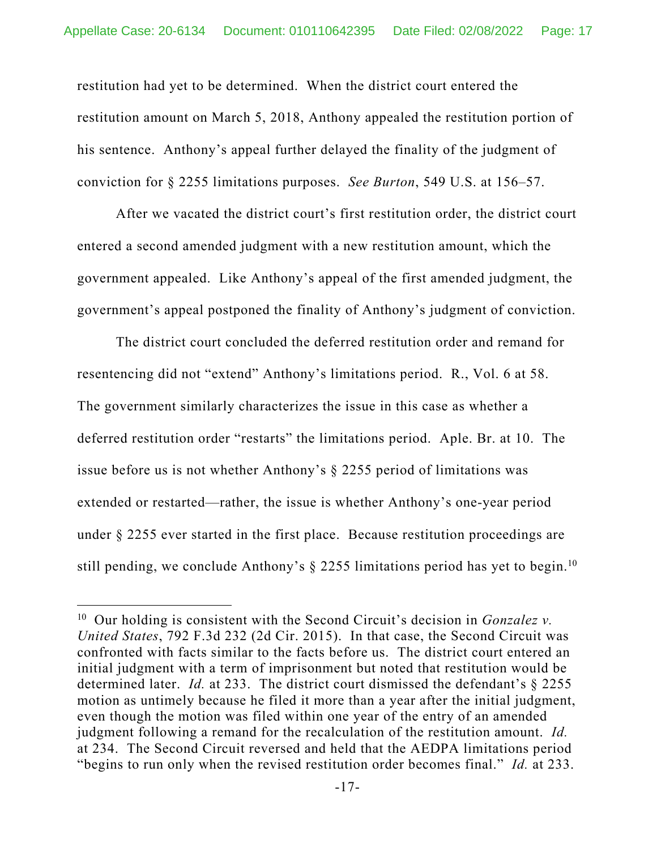restitution had yet to be determined. When the district court entered the restitution amount on March 5, 2018, Anthony appealed the restitution portion of his sentence. Anthony's appeal further delayed the finality of the judgment of conviction for § 2255 limitations purposes. *See Burton*, 549 U.S. at 156–57.

After we vacated the district court's first restitution order, the district court entered a second amended judgment with a new restitution amount, which the government appealed. Like Anthony's appeal of the first amended judgment, the government's appeal postponed the finality of Anthony's judgment of conviction.

The district court concluded the deferred restitution order and remand for resentencing did not "extend" Anthony's limitations period. R., Vol. 6 at 58. The government similarly characterizes the issue in this case as whether a deferred restitution order "restarts" the limitations period. Aple. Br. at 10. The issue before us is not whether Anthony's § 2255 period of limitations was extended or restarted—rather, the issue is whether Anthony's one-year period under § 2255 ever started in the first place. Because restitution proceedings are still pending, we conclude Anthony's  $\S$  2255 limitations period has yet to begin.<sup>10</sup>

<sup>10</sup> Our holding is consistent with the Second Circuit's decision in *Gonzalez v. United States*, 792 F.3d 232 (2d Cir. 2015). In that case, the Second Circuit was confronted with facts similar to the facts before us. The district court entered an initial judgment with a term of imprisonment but noted that restitution would be determined later. *Id.* at 233. The district court dismissed the defendant's § 2255 motion as untimely because he filed it more than a year after the initial judgment, even though the motion was filed within one year of the entry of an amended judgment following a remand for the recalculation of the restitution amount. *Id.*  at 234. The Second Circuit reversed and held that the AEDPA limitations period "begins to run only when the revised restitution order becomes final." *Id.* at 233.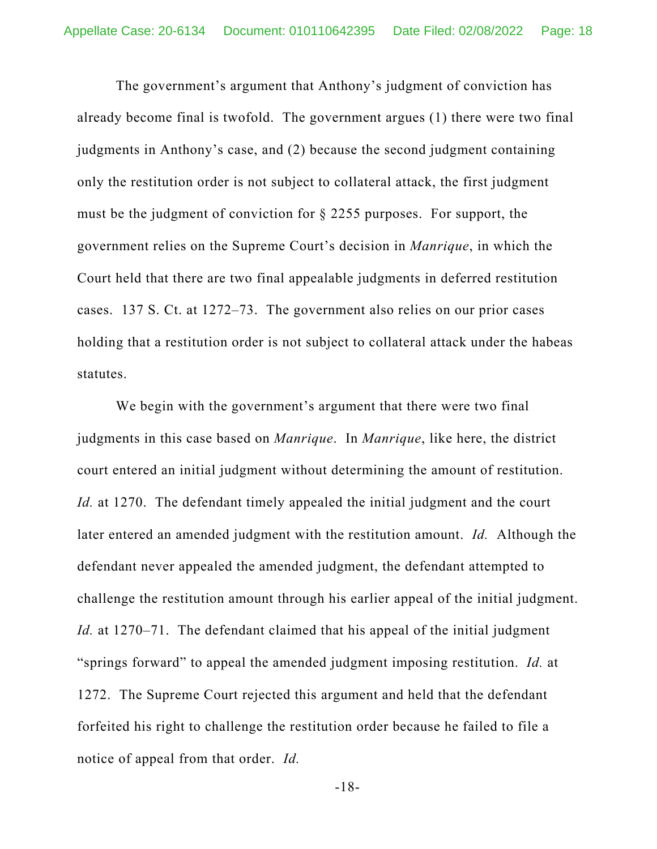The government's argument that Anthony's judgment of conviction has already become final is twofold. The government argues (1) there were two final judgments in Anthony's case, and (2) because the second judgment containing only the restitution order is not subject to collateral attack, the first judgment must be the judgment of conviction for § 2255 purposes. For support, the government relies on the Supreme Court's decision in *Manrique*, in which the Court held that there are two final appealable judgments in deferred restitution cases. 137 S. Ct. at 1272–73. The government also relies on our prior cases holding that a restitution order is not subject to collateral attack under the habeas statutes.

We begin with the government's argument that there were two final judgments in this case based on *Manrique*. In *Manrique*, like here, the district court entered an initial judgment without determining the amount of restitution. *Id.* at 1270. The defendant timely appealed the initial judgment and the court later entered an amended judgment with the restitution amount. *Id.* Although the defendant never appealed the amended judgment, the defendant attempted to challenge the restitution amount through his earlier appeal of the initial judgment. *Id.* at 1270–71. The defendant claimed that his appeal of the initial judgment "springs forward" to appeal the amended judgment imposing restitution. *Id.* at 1272. The Supreme Court rejected this argument and held that the defendant forfeited his right to challenge the restitution order because he failed to file a notice of appeal from that order. *Id.* 

-18-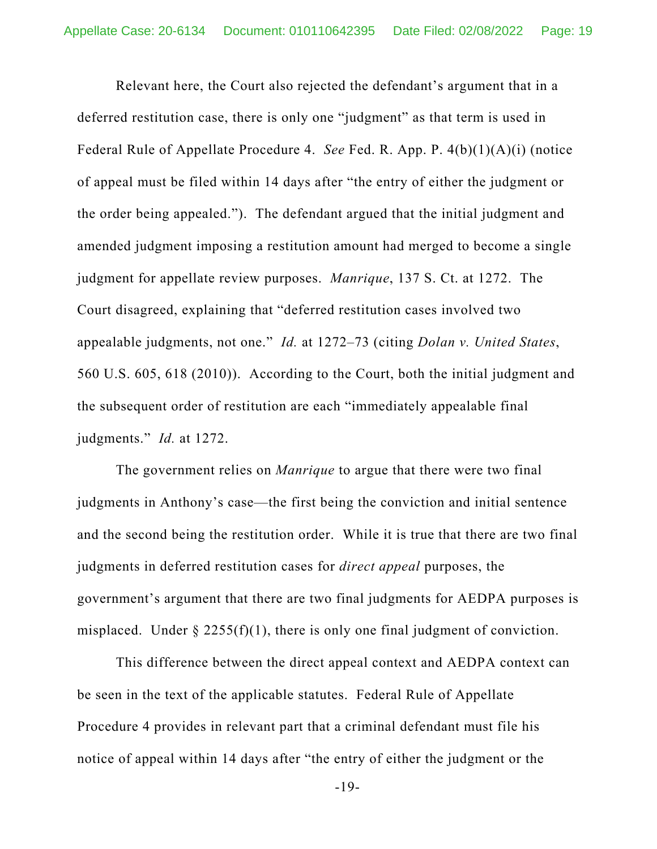Relevant here, the Court also rejected the defendant's argument that in a deferred restitution case, there is only one "judgment" as that term is used in Federal Rule of Appellate Procedure 4. *See* Fed. R. App. P. 4(b)(1)(A)(i) (notice of appeal must be filed within 14 days after "the entry of either the judgment or the order being appealed."). The defendant argued that the initial judgment and amended judgment imposing a restitution amount had merged to become a single judgment for appellate review purposes. *Manrique*, 137 S. Ct. at 1272. The Court disagreed, explaining that "deferred restitution cases involved two appealable judgments, not one." *Id.* at 1272–73 (citing *Dolan v. United States*, 560 U.S. 605, 618 (2010)). According to the Court, both the initial judgment and the subsequent order of restitution are each "immediately appealable final judgments." *Id.* at 1272.

The government relies on *Manrique* to argue that there were two final judgments in Anthony's case—the first being the conviction and initial sentence and the second being the restitution order. While it is true that there are two final judgments in deferred restitution cases for *direct appeal* purposes, the government's argument that there are two final judgments for AEDPA purposes is misplaced. Under  $\S 2255(f)(1)$ , there is only one final judgment of conviction.

This difference between the direct appeal context and AEDPA context can be seen in the text of the applicable statutes. Federal Rule of Appellate Procedure 4 provides in relevant part that a criminal defendant must file his notice of appeal within 14 days after "the entry of either the judgment or the

-19-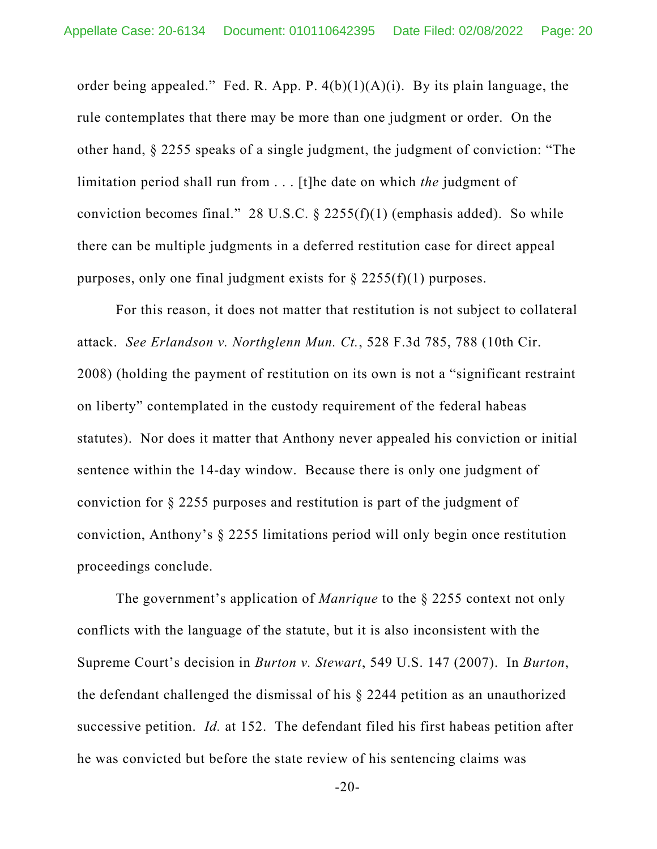order being appealed." Fed. R. App. P.  $4(b)(1)(A)(i)$ . By its plain language, the rule contemplates that there may be more than one judgment or order. On the other hand, § 2255 speaks of a single judgment, the judgment of conviction: "The limitation period shall run from . . . [t]he date on which *the* judgment of conviction becomes final." 28 U.S.C.  $\S$  2255(f)(1) (emphasis added). So while there can be multiple judgments in a deferred restitution case for direct appeal purposes, only one final judgment exists for  $\S 2255(f)(1)$  purposes.

For this reason, it does not matter that restitution is not subject to collateral attack. *See Erlandson v. Northglenn Mun. Ct.*, 528 F.3d 785, 788 (10th Cir. 2008) (holding the payment of restitution on its own is not a "significant restraint on liberty" contemplated in the custody requirement of the federal habeas statutes). Nor does it matter that Anthony never appealed his conviction or initial sentence within the 14-day window. Because there is only one judgment of conviction for § 2255 purposes and restitution is part of the judgment of conviction, Anthony's § 2255 limitations period will only begin once restitution proceedings conclude.

The government's application of *Manrique* to the § 2255 context not only conflicts with the language of the statute, but it is also inconsistent with the Supreme Court's decision in *Burton v. Stewart*, 549 U.S. 147 (2007). In *Burton*, the defendant challenged the dismissal of his § 2244 petition as an unauthorized successive petition. *Id.* at 152. The defendant filed his first habeas petition after he was convicted but before the state review of his sentencing claims was

 $-20-$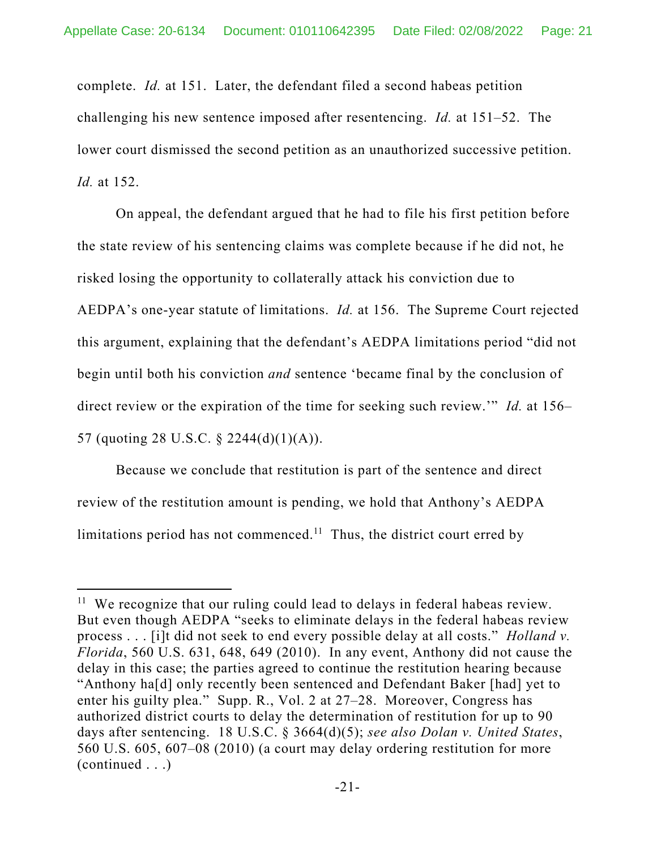complete. *Id.* at 151. Later, the defendant filed a second habeas petition challenging his new sentence imposed after resentencing. *Id.* at 151–52. The lower court dismissed the second petition as an unauthorized successive petition. *Id.* at 152.

On appeal, the defendant argued that he had to file his first petition before the state review of his sentencing claims was complete because if he did not, he risked losing the opportunity to collaterally attack his conviction due to AEDPA's one-year statute of limitations. *Id.* at 156. The Supreme Court rejected this argument, explaining that the defendant's AEDPA limitations period "did not begin until both his conviction *and* sentence 'became final by the conclusion of direct review or the expiration of the time for seeking such review.'" *Id.* at 156– 57 (quoting 28 U.S.C. § 2244(d)(1)(A)).

Because we conclude that restitution is part of the sentence and direct review of the restitution amount is pending, we hold that Anthony's AEDPA limitations period has not commenced.<sup>11</sup> Thus, the district court erred by

<sup>&</sup>lt;sup>11</sup> We recognize that our ruling could lead to delays in federal habeas review. But even though AEDPA "seeks to eliminate delays in the federal habeas review process . . . [i]t did not seek to end every possible delay at all costs." *Holland v. Florida*, 560 U.S. 631, 648, 649 (2010). In any event, Anthony did not cause the delay in this case; the parties agreed to continue the restitution hearing because "Anthony ha[d] only recently been sentenced and Defendant Baker [had] yet to enter his guilty plea." Supp. R., Vol. 2 at 27–28. Moreover, Congress has authorized district courts to delay the determination of restitution for up to 90 days after sentencing. 18 U.S.C. § 3664(d)(5); *see also Dolan v. United States*, 560 U.S. 605, 607–08 (2010) (a court may delay ordering restitution for more (continued . . .)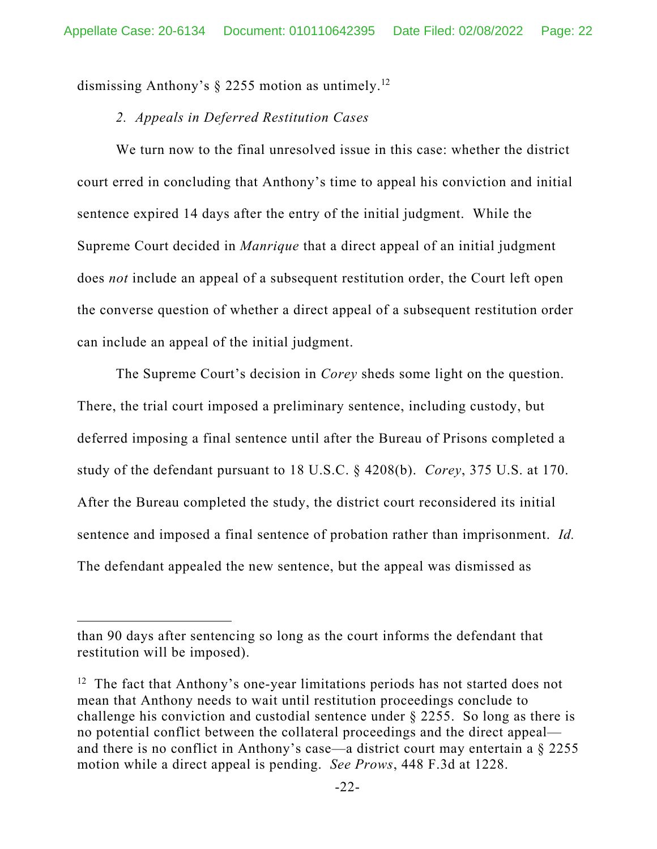dismissing Anthony's  $\S$  2255 motion as untimely.<sup>12</sup>

### *2. Appeals in Deferred Restitution Cases*

We turn now to the final unresolved issue in this case: whether the district court erred in concluding that Anthony's time to appeal his conviction and initial sentence expired 14 days after the entry of the initial judgment. While the Supreme Court decided in *Manrique* that a direct appeal of an initial judgment does *not* include an appeal of a subsequent restitution order, the Court left open the converse question of whether a direct appeal of a subsequent restitution order can include an appeal of the initial judgment.

 The Supreme Court's decision in *Corey* sheds some light on the question. There, the trial court imposed a preliminary sentence, including custody, but deferred imposing a final sentence until after the Bureau of Prisons completed a study of the defendant pursuant to 18 U.S.C. § 4208(b). *Corey*, 375 U.S. at 170. After the Bureau completed the study, the district court reconsidered its initial sentence and imposed a final sentence of probation rather than imprisonment. *Id.*  The defendant appealed the new sentence, but the appeal was dismissed as

than 90 days after sentencing so long as the court informs the defendant that restitution will be imposed).

 $12$  The fact that Anthony's one-year limitations periods has not started does not mean that Anthony needs to wait until restitution proceedings conclude to challenge his conviction and custodial sentence under § 2255. So long as there is no potential conflict between the collateral proceedings and the direct appeal and there is no conflict in Anthony's case—a district court may entertain a § 2255 motion while a direct appeal is pending. *See Prows*, 448 F.3d at 1228.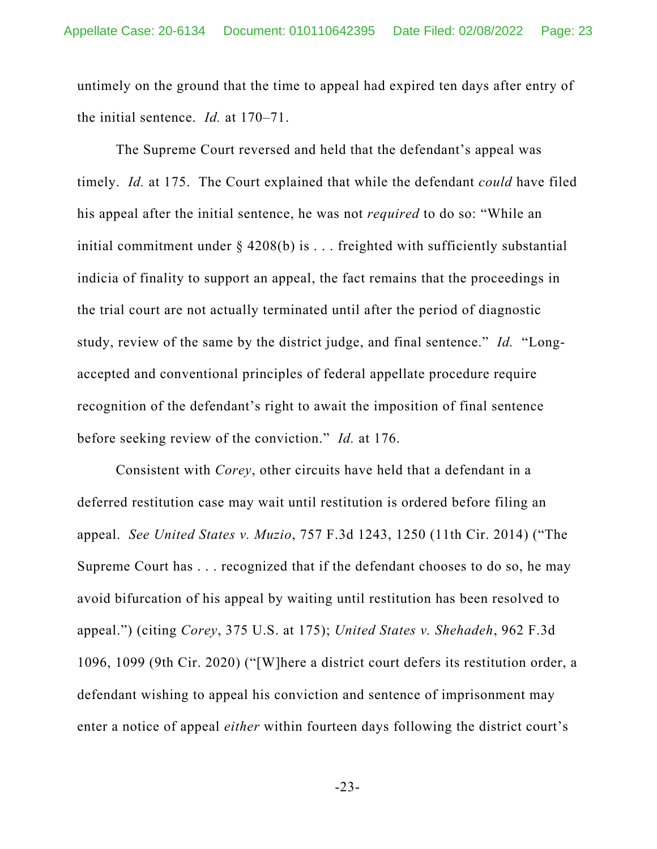untimely on the ground that the time to appeal had expired ten days after entry of the initial sentence. *Id.* at 170–71.

The Supreme Court reversed and held that the defendant's appeal was timely. *Id.* at 175. The Court explained that while the defendant *could* have filed his appeal after the initial sentence, he was not *required* to do so: "While an initial commitment under § 4208(b) is . . . freighted with sufficiently substantial indicia of finality to support an appeal, the fact remains that the proceedings in the trial court are not actually terminated until after the period of diagnostic study, review of the same by the district judge, and final sentence." *Id.* "Longaccepted and conventional principles of federal appellate procedure require recognition of the defendant's right to await the imposition of final sentence before seeking review of the conviction." *Id.* at 176.

Consistent with *Corey*, other circuits have held that a defendant in a deferred restitution case may wait until restitution is ordered before filing an appeal. *See United States v. Muzio*, 757 F.3d 1243, 1250 (11th Cir. 2014) ("The Supreme Court has . . . recognized that if the defendant chooses to do so, he may avoid bifurcation of his appeal by waiting until restitution has been resolved to appeal.") (citing *Corey*, 375 U.S. at 175); *United States v. Shehadeh*, 962 F.3d 1096, 1099 (9th Cir. 2020) ("[W]here a district court defers its restitution order, a defendant wishing to appeal his conviction and sentence of imprisonment may enter a notice of appeal *either* within fourteen days following the district court's

-23-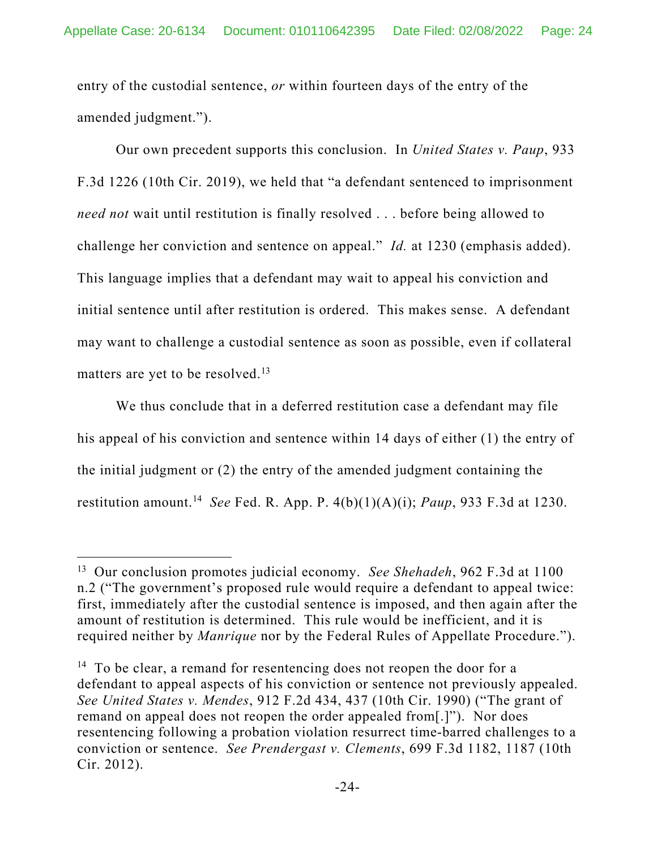entry of the custodial sentence, *or* within fourteen days of the entry of the amended judgment.").

Our own precedent supports this conclusion. In *United States v. Paup*, 933 F.3d 1226 (10th Cir. 2019), we held that "a defendant sentenced to imprisonment *need not* wait until restitution is finally resolved . . . before being allowed to challenge her conviction and sentence on appeal." *Id.* at 1230 (emphasis added). This language implies that a defendant may wait to appeal his conviction and initial sentence until after restitution is ordered. This makes sense. A defendant may want to challenge a custodial sentence as soon as possible, even if collateral matters are yet to be resolved.<sup>13</sup>

We thus conclude that in a deferred restitution case a defendant may file his appeal of his conviction and sentence within 14 days of either (1) the entry of the initial judgment or (2) the entry of the amended judgment containing the restitution amount.14 *See* Fed. R. App. P. 4(b)(1)(A)(i); *Paup*, 933 F.3d at 1230.

<sup>13</sup> Our conclusion promotes judicial economy. *See Shehadeh*, 962 F.3d at 1100 n.2 ("The government's proposed rule would require a defendant to appeal twice: first, immediately after the custodial sentence is imposed, and then again after the amount of restitution is determined. This rule would be inefficient, and it is required neither by *Manrique* nor by the Federal Rules of Appellate Procedure.").

<sup>&</sup>lt;sup>14</sup> To be clear, a remand for resentencing does not reopen the door for a defendant to appeal aspects of his conviction or sentence not previously appealed. *See United States v. Mendes*, 912 F.2d 434, 437 (10th Cir. 1990) ("The grant of remand on appeal does not reopen the order appealed from[.]"). Nor does resentencing following a probation violation resurrect time-barred challenges to a conviction or sentence. *See Prendergast v. Clements*, 699 F.3d 1182, 1187 (10th Cir. 2012).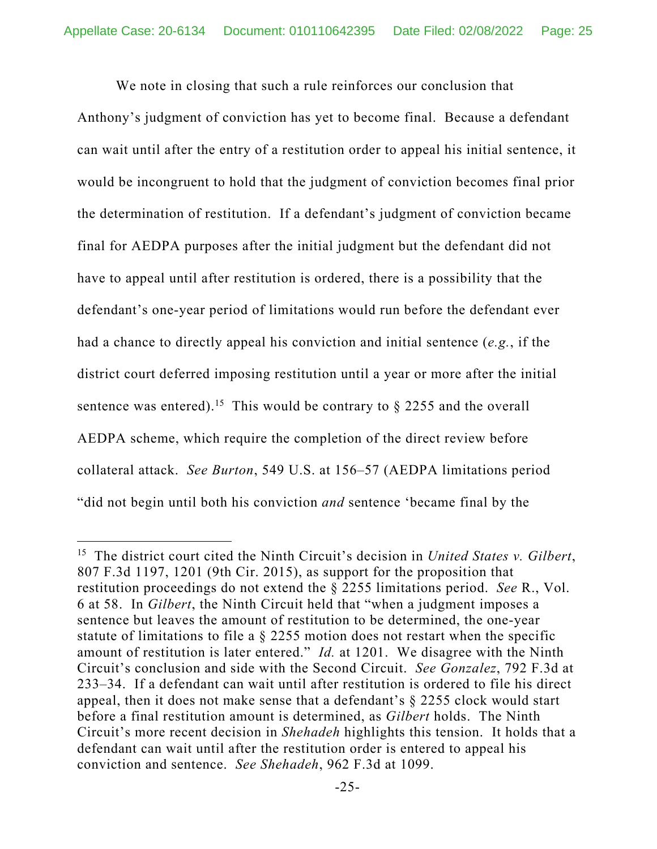We note in closing that such a rule reinforces our conclusion that

Anthony's judgment of conviction has yet to become final. Because a defendant can wait until after the entry of a restitution order to appeal his initial sentence, it would be incongruent to hold that the judgment of conviction becomes final prior the determination of restitution. If a defendant's judgment of conviction became final for AEDPA purposes after the initial judgment but the defendant did not have to appeal until after restitution is ordered, there is a possibility that the defendant's one-year period of limitations would run before the defendant ever had a chance to directly appeal his conviction and initial sentence (*e.g.*, if the district court deferred imposing restitution until a year or more after the initial sentence was entered).<sup>15</sup> This would be contrary to  $\S$  2255 and the overall AEDPA scheme, which require the completion of the direct review before collateral attack. *See Burton*, 549 U.S. at 156–57 (AEDPA limitations period "did not begin until both his conviction *and* sentence 'became final by the

<sup>15</sup> The district court cited the Ninth Circuit's decision in *United States v. Gilbert*, 807 F.3d 1197, 1201 (9th Cir. 2015), as support for the proposition that restitution proceedings do not extend the § 2255 limitations period. *See* R., Vol. 6 at 58. In *Gilbert*, the Ninth Circuit held that "when a judgment imposes a sentence but leaves the amount of restitution to be determined, the one-year statute of limitations to file a § 2255 motion does not restart when the specific amount of restitution is later entered." *Id.* at 1201. We disagree with the Ninth Circuit's conclusion and side with the Second Circuit. *See Gonzalez*, 792 F.3d at 233–34. If a defendant can wait until after restitution is ordered to file his direct appeal, then it does not make sense that a defendant's § 2255 clock would start before a final restitution amount is determined, as *Gilbert* holds. The Ninth Circuit's more recent decision in *Shehadeh* highlights this tension. It holds that a defendant can wait until after the restitution order is entered to appeal his conviction and sentence. *See Shehadeh*, 962 F.3d at 1099.